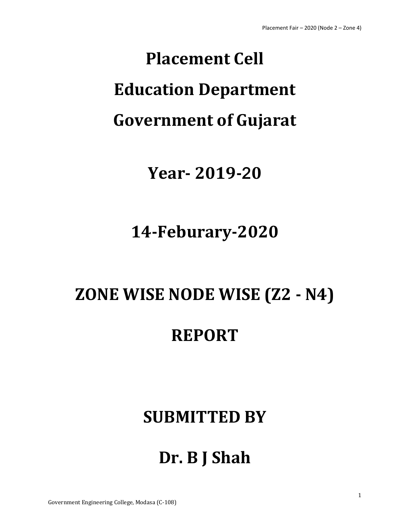# **Placement Cell Education Department Government of Gujarat**

### **Year- 2019-20**

### **14-Feburary-2020**

### **ZONE WISE NODE WISE (Z2 - N4)**

### **REPORT**

### **SUBMITTED BY**

## **Dr. B J Shah**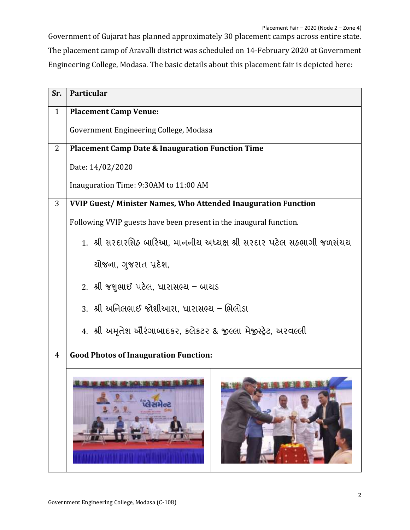Government of Gujarat has planned approximately 30 placement camps across entire state. The placement camp of Aravalli district was scheduled on 14-February 2020 at Government Engineering College, Modasa. The basic details about this placement fair is depicted here:

| Sr.            | <b>Particular</b>                                                      |  |  |
|----------------|------------------------------------------------------------------------|--|--|
| $\mathbf{1}$   | <b>Placement Camp Venue:</b>                                           |  |  |
|                | Government Engineering College, Modasa                                 |  |  |
| $\overline{2}$ | <b>Placement Camp Date &amp; Inauguration Function Time</b>            |  |  |
|                | Date: 14/02/2020                                                       |  |  |
|                | Inauguration Time: 9:30AM to 11:00 AM                                  |  |  |
| 3              | <b>VVIP Guest/Minister Names, Who Attended Inauguration Function</b>   |  |  |
|                | Following VVIP guests have been present in the inaugural function.     |  |  |
|                | 1.  શ્રી સરદારસિઠ બારિઆ, માનનીય અધ્યક્ષ શ્રી સરદાર પટેલ સઠ્ભાગી જળસંચય |  |  |
|                | ચોજના, ગુજરાત પ્રદેશ,                                                  |  |  |
|                | 2. શ્રી જશુભાઈ પટેલ, ધારાસભ્ય – બાચડ                                   |  |  |
|                | 3.  શ્રી અનિલભાઈ જોશીઆરા, ધારાસભ્ય – ભિલોડા                            |  |  |
|                | 4. શ્રી અમૃતેશ ઔરંગાબાદકર, કલેકટર & જીલ્લા મેજીસ્ટ્રેટ, અરવલ્લી        |  |  |
| 4              | <b>Good Photos of Inauguration Function:</b>                           |  |  |
|                |                                                                        |  |  |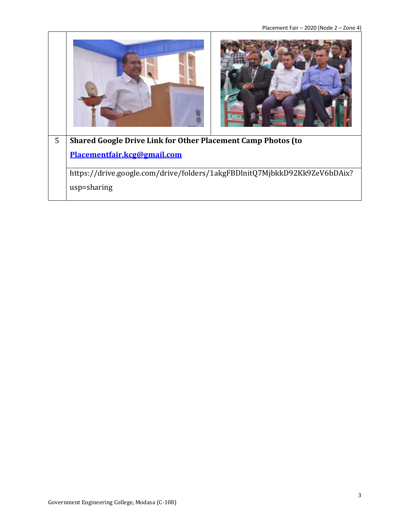Placement Fair – 2020 (Node 2 – Zone 4)

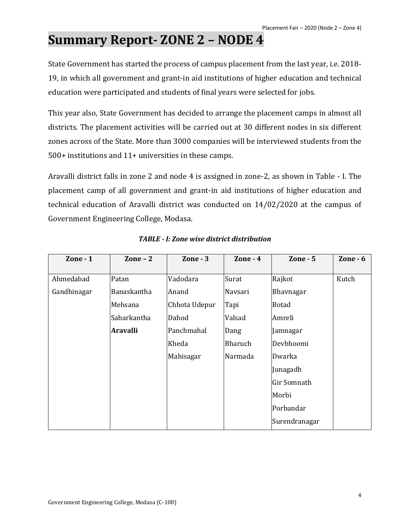### **Summary Report- ZONE 2 – NODE 4**

State Government has started the process of campus placement from the last year, i.e. 2018- 19, in which all government and grant-in aid institutions of higher education and technical education were participated and students of final years were selected for jobs.

This year also, State Government has decided to arrange the placement camps in almost all districts. The placement activities will be carried out at 30 different nodes in six different zones across of the State. More than 3000 companies will be interviewed students from the 500+ institutions and 11+ universities in these camps.

Aravalli district falls in zone 2 and node 4 is assigned in zone-2, as shown in Table - I. The placement camp of all government and grant-in aid institutions of higher education and technical education of Aravalli district was conducted on 14/02/2020 at the campus of Government Engineering College, Modasa.

| $\mathbf{Zone} \cdot \mathbf{1}$ | Zone $-2$       | Zone - $3$    | Zone - $4$ | $\mathbf{Zone} \cdot \mathbf{5}$ | Zone $-6$ |
|----------------------------------|-----------------|---------------|------------|----------------------------------|-----------|
|                                  |                 |               |            |                                  |           |
| Ahmedabad                        | Patan           | Vadodara      | Surat      | Rajkot                           | Kutch     |
| Gandhinagar                      | Banaskantha     | Anand         | Navsari    | Bhavnagar                        |           |
|                                  | Mehsana         | Chhota Udepur | Tapi       | <b>Botad</b>                     |           |
|                                  | Sabarkantha     | Dahod         | Valsad     | Amreli                           |           |
|                                  | <b>Aravalli</b> | Panchmahal    | Dang       | Jamnagar                         |           |
|                                  |                 | Kheda         | Bharuch    | Devbhoomi                        |           |
|                                  |                 | Mahisagar     | Narmada    | Dwarka                           |           |
|                                  |                 |               |            | Junagadh                         |           |
|                                  |                 |               |            | Gir Somnath                      |           |
|                                  |                 |               |            | Morbi                            |           |
|                                  |                 |               |            | Porbandar                        |           |
|                                  |                 |               |            | Surendranagar                    |           |

#### *TABLE - I: Zone wise district distribution*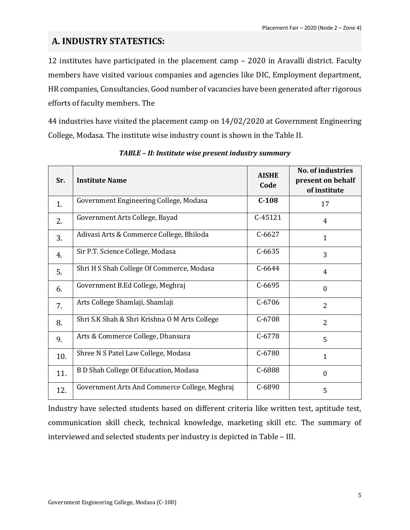#### **A. INDUSTRY STATESTICS:**

12 institutes have participated in the placement camp – 2020 in Aravalli district. Faculty members have visited various companies and agencies like DIC, Employment department, HR companies, Consultancies. Good number of vacancies have been generated after rigorous efforts of faculty members. The

44 industries have visited the placement camp on 14/02/2020 at Government Engineering College, Modasa. The institute wise industry count is shown in the Table II.

| Sr. | <b>Institute Name</b>                         | <b>AISHE</b><br>Code | <b>No. of industries</b><br>present on behalf<br>of institute |
|-----|-----------------------------------------------|----------------------|---------------------------------------------------------------|
| 1.  | Government Engineering College, Modasa        | $C-108$              | 17                                                            |
| 2.  | Government Arts College, Bayad                | $C-45121$            | 4                                                             |
| 3.  | Adivasi Arts & Commerce College, Bhiloda      | $C-6627$             | $\mathbf{1}$                                                  |
| 4.  | Sir P.T. Science College, Modasa              | $C-6635$             | 3                                                             |
| 5.  | Shri H S Shah College Of Commerce, Modasa     | $C - 6644$           | 4                                                             |
| 6.  | Government B.Ed College, Meghraj              | $C - 6695$           | $\boldsymbol{0}$                                              |
| 7.  | Arts College Shamlaji, Shamlaji               | $C - 6706$           | $\overline{2}$                                                |
| 8.  | Shri S.K Shah & Shri Krishna O M Arts College | $C-6708$             | $\overline{2}$                                                |
| 9.  | Arts & Commerce College, Dhansura             | $C-6778$             | 5                                                             |
| 10. | Shree N S Patel Law College, Modasa           | $C - 6780$           | $\mathbf 1$                                                   |
| 11. | B D Shah College Of Education, Modasa         | C-6888               | $\boldsymbol{0}$                                              |
| 12. | Government Arts And Commerce College, Meghraj | $C - 6890$           | 5                                                             |

*TABLE – II: Institute wise present industry summary*

Industry have selected students based on different criteria like written test, aptitude test, communication skill check, technical knowledge, marketing skill etc. The summary of interviewed and selected students per industry is depicted in Table – III.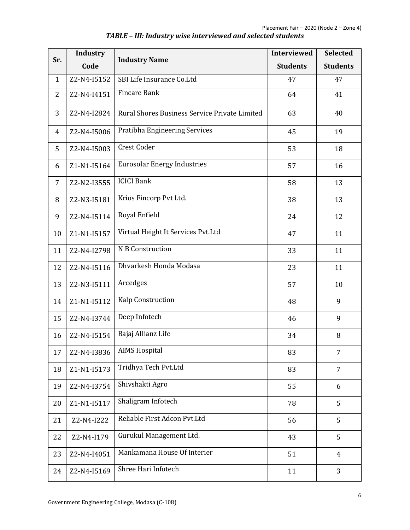| Sr.            | Industry    | <b>Industry Name</b>                          | <b>Interviewed</b> | <b>Selected</b> |
|----------------|-------------|-----------------------------------------------|--------------------|-----------------|
|                | Code        |                                               | <b>Students</b>    | <b>Students</b> |
| $\mathbf{1}$   | Z2-N4-I5152 | SBI Life Insurance Co.Ltd                     | 47                 | 47              |
| $\overline{2}$ | Z2-N4-I4151 | <b>Fincare Bank</b>                           | 64                 | 41              |
| 3              | Z2-N4-I2824 | Rural Shores Business Service Private Limited | 63                 | 40              |
| $\overline{4}$ | Z2-N4-I5006 | Pratibha Engineering Services                 | 45                 | 19              |
| 5              | Z2-N4-I5003 | Crest Coder                                   | 53                 | 18              |
| 6              | Z1-N1-I5164 | <b>Eurosolar Energy Industries</b>            | 57                 | 16              |
| $\overline{7}$ | Z2-N2-I3555 | <b>ICICI Bank</b>                             | 58                 | 13              |
| 8              | Z2-N3-I5181 | Krios Fincorp Pvt Ltd.                        | 38                 | 13              |
| 9              | Z2-N4-I5114 | Royal Enfield                                 | 24                 | 12              |
| 10             | Z1-N1-I5157 | Virtual Height It Services Pvt.Ltd            | 47                 | 11              |
| 11             | Z2-N4-I2798 | N B Construction                              | 33                 | 11              |
| 12             | Z2-N4-I5116 | Dhvarkesh Honda Modasa                        | 23                 | 11              |
| 13             | Z2-N3-I5111 | Arcedges                                      | 57                 | 10              |
| 14             | Z1-N1-I5112 | Kalp Construction                             | 48                 | 9               |
| 15             | Z2-N4-I3744 | Deep Infotech                                 | 46                 | 9               |
| 16             | Z2-N4-I5154 | Bajaj Allianz Life                            | 34                 | $\, 8$          |
| 17             | Z2-N4-I3836 | <b>AIMS Hospital</b>                          | 83                 | 7               |
| 18             | Z1-N1-I5173 | Tridhya Tech Pvt.Ltd                          | 83                 | $\overline{7}$  |
| 19             | Z2-N4-I3754 | Shivshakti Agro                               | 55                 | 6               |
| 20             | Z1-N1-I5117 | Shaligram Infotech                            | 78                 | 5               |
| 21             | Z2-N4-I222  | Reliable First Adcon Pvt.Ltd                  | 56                 | 5               |
| 22             | Z2-N4-I179  | Gurukul Management Ltd.                       | 43                 | 5               |
| 23             | Z2-N4-I4051 | Mankamana House Of Interier                   | 51                 | $\overline{4}$  |
| 24             | Z2-N4-I5169 | Shree Hari Infotech                           | 11                 | 3               |

*TABLE – III: Industry wise interviewed and selected students*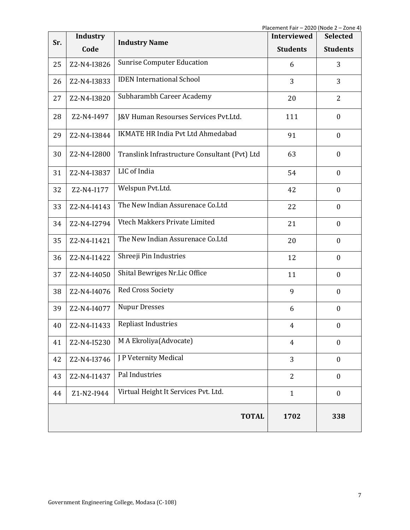| Industry<br>Sr. |             | <b>Industry Name</b>                          | <b>Interviewed</b> | <b>Selected</b>  |
|-----------------|-------------|-----------------------------------------------|--------------------|------------------|
|                 | Code        |                                               | <b>Students</b>    | <b>Students</b>  |
| 25              | Z2-N4-I3826 | <b>Sunrise Computer Education</b>             | 6                  | 3                |
| 26              | Z2-N4-I3833 | <b>IDEN</b> International School              | 3                  | 3                |
| 27              | Z2-N4-I3820 | Subharambh Career Academy                     | 20                 | $\overline{2}$   |
| 28              | Z2-N4-I497  | J&V Human Resourses Services Pvt.Ltd.         | 111                | $\boldsymbol{0}$ |
| 29              | Z2-N4-I3844 | <b>IKMATE HR India Pvt Ltd Ahmedabad</b>      | 91                 | $\boldsymbol{0}$ |
| 30              | Z2-N4-I2800 | Translink Infrastructure Consultant (Pvt) Ltd | 63                 | $\boldsymbol{0}$ |
| 31              | Z2-N4-I3837 | LIC of India                                  | 54                 | $\boldsymbol{0}$ |
| 32              | Z2-N4-I177  | Welspun Pvt.Ltd.                              | 42                 | $\boldsymbol{0}$ |
| 33              | Z2-N4-I4143 | The New Indian Assurenace Co.Ltd              | 22                 | $\boldsymbol{0}$ |
| 34              | Z2-N4-I2794 | Vtech Makkers Private Limited                 | 21                 | $\boldsymbol{0}$ |
| 35              | Z2-N4-I1421 | The New Indian Assurenace Co.Ltd              | 20                 | $\boldsymbol{0}$ |
| 36              | Z2-N4-I1422 | Shreeji Pin Industries                        | 12                 | $\mathbf{0}$     |
| 37              | Z2-N4-I4050 | Shital Bewriges Nr.Lic Office                 | 11                 | $\boldsymbol{0}$ |
| 38              | Z2-N4-I4076 | <b>Red Cross Society</b>                      | 9                  | $\boldsymbol{0}$ |
| 39              | Z2-N4-I4077 | <b>Nupur Dresses</b>                          | 6                  | $\boldsymbol{0}$ |
| 40              | Z2-N4-I1433 | <b>Repliast Industries</b>                    | 4                  | $\boldsymbol{0}$ |
| 41              | Z2-N4-I5230 | M A Ekroliya(Advocate)                        | $\overline{4}$     | $\mathbf{0}$     |
| 42              | Z2-N4-I3746 | J P Veternity Medical                         | 3                  | $\mathbf{0}$     |
| 43              | Z2-N4-I1437 | Pal Industries                                | $\overline{2}$     | $\boldsymbol{0}$ |
| 44              | Z1-N2-I944  | Virtual Height It Services Pvt. Ltd.          | $\mathbf{1}$       | $\boldsymbol{0}$ |
|                 |             | <b>TOTAL</b>                                  | 1702               | 338              |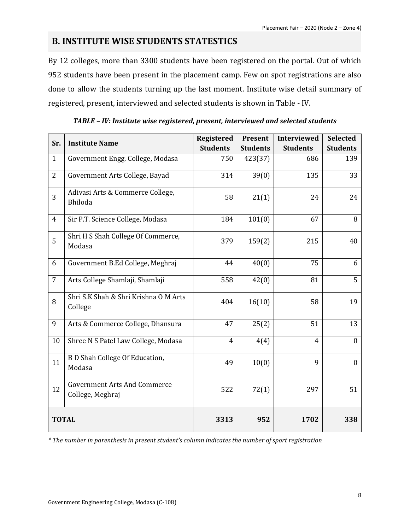#### **B. INSTITUTE WISE STUDENTS STATESTICS**

By 12 colleges, more than 3300 students have been registered on the portal. Out of which 952 students have been present in the placement camp. Few on spot registrations are also done to allow the students turning up the last moment. Institute wise detail summary of registered, present, interviewed and selected students is shown in Table - IV.

| Sr.            | <b>Institute Name</b>                                   | <b>Registered</b> | Present         | <b>Interviewed</b> | <b>Selected</b>  |
|----------------|---------------------------------------------------------|-------------------|-----------------|--------------------|------------------|
|                |                                                         | <b>Students</b>   | <b>Students</b> | <b>Students</b>    | <b>Students</b>  |
| $\mathbf{1}$   | Government Engg. College, Modasa                        | 750               | 423(37)         | 686                | 139              |
| $\overline{2}$ | Government Arts College, Bayad                          | 314               | 39(0)           | 135                | 33               |
| 3              | Adivasi Arts & Commerce College,<br>Bhiloda             | 58                | 21(1)           | 24                 | 24               |
| $\overline{4}$ | Sir P.T. Science College, Modasa                        | 184               | 101(0)          | 67                 | 8                |
| 5              | Shri H S Shah College Of Commerce,<br>Modasa            | 379               | 159(2)          | 215                | 40               |
| 6              | Government B.Ed College, Meghraj                        | 44                | 40(0)           | 75                 | 6                |
| $\overline{7}$ | Arts College Shamlaji, Shamlaji                         | 558               | 42(0)           | 81                 | 5                |
| 8              | Shri S.K Shah & Shri Krishna O M Arts<br>College        | 404               | 16(10)          | 58                 | 19               |
| 9              | Arts & Commerce College, Dhansura                       | 47                | 25(2)           | 51                 | 13               |
| 10             | Shree N S Patel Law College, Modasa                     | $\overline{4}$    | 4(4)            | $\overline{4}$     | $\boldsymbol{0}$ |
| 11             | <b>B D Shah College Of Education,</b><br>Modasa         | 49                | 10(0)           | 9                  | $\boldsymbol{0}$ |
| 12             | <b>Government Arts And Commerce</b><br>College, Meghraj | 522               | 72(1)           | 297                | 51               |
| <b>TOTAL</b>   |                                                         | 3313              | 952             | 1702               | 338              |

#### *TABLE – IV: Institute wise registered, present, interviewed and selected students*

*\* The number in parenthesis in present student's column indicates the number of sport registration*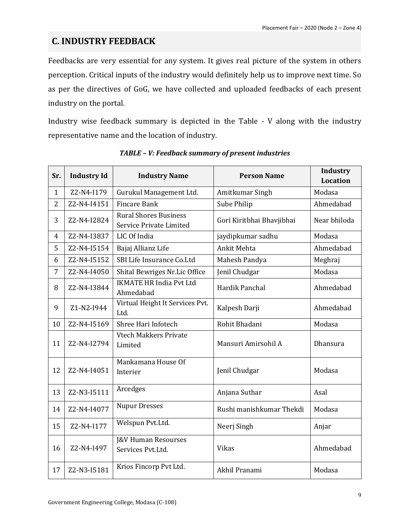#### **C. INDUSTRY FEEDBACK**

Feedbacks are very essential for any system. It gives real picture of the system in others perception. Critical inputs of the industry would definitely help us to improve next time. So as per the directives of GoG, we have collected and uploaded feedbacks of each present industry on the portal.

Industry wise feedback summary is depicted in the Table - V along with the industry representative name and the location of industry.

| Sr.            | <b>Industry Id</b> | <b>Industry Name</b>                                           | <b>Person Name</b>        | Industry<br><b>Location</b> |
|----------------|--------------------|----------------------------------------------------------------|---------------------------|-----------------------------|
| $\mathbf{1}$   | Z2-N4-I179         | Gurukul Management Ltd.                                        | Amitkumar Singh           | Modasa                      |
| $\overline{2}$ | Z2-N4-I4151        | <b>Fincare Bank</b>                                            | Sube Philip               | Ahmedabad                   |
| 3              | Z2-N4-I2824        | <b>Rural Shores Business</b><br><b>Service Private Limited</b> | Gori Kiritbhai Bhavjibhai | Near bhiloda                |
| 4              | Z2-N4-I3837        | LIC Of India                                                   | jaydipkumar sadhu         | Modasa                      |
| 5              | Z2-N4-I5154        | Bajaj Allianz Life                                             | Ankit Mehta               | Ahmedabad                   |
| 6              | Z2-N4-I5152        | SBI Life Insurance Co.Ltd                                      | Mahesh Pandya             | Meghraj                     |
| 7              | Z2-N4-I4050        | Shital Bewriges Nr.Lic Office                                  | Jenil Chudgar             | Modasa                      |
| 8              | Z2-N4-I3844        | <b>IKMATE HR India Pvt Ltd</b><br>Ahmedabad                    | Hardik Panchal            | Ahmedabad                   |
| 9              | Z1-N2-I944         | Virtual Height It Services Pvt.<br>Ltd.                        | Kalpesh Darji             | Ahmedabad                   |
| 10             | Z2-N4-I5169        | Shree Hari Infotech                                            | Rohit Bhadani             | Modasa                      |
| 11             | Z2-N4-I2794        | <b>Vtech Makkers Private</b><br>Limited                        | Mansuri Amirsohil A       | Dhansura                    |
| 12             | Z2-N4-I4051        | Mankamana House Of<br>Interier                                 | Jenil Chudgar             | Modasa                      |
| 13             | Z2-N3-I5111        | Arcedges                                                       | Anjana Suthar             | Asal                        |
| 14             | Z2-N4-I4077        | <b>Nupur Dresses</b>                                           | Rushi manishkumar Thekdi  | Modasa                      |
| 15             | Z2-N4-I177         | Welspun Pvt.Ltd.                                               | Neerj Singh               | Anjar                       |
| 16             | Z2-N4-I497         | <b>J&amp;V Human Resourses</b><br>Services Pvt.Ltd.            | Vikas                     | Ahmedabad                   |
| 17             | Z2-N3-I5181        | Krios Fincorp Pvt Ltd.                                         | Akhil Pranami             | Modasa                      |

*TABLE – V: Feedback summary of present industries*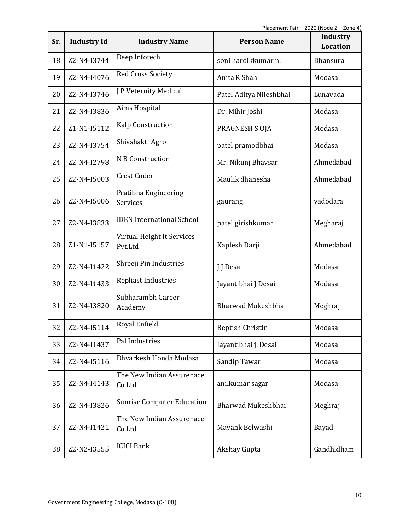| Sr. | <b>Industry Id</b> | <b>Industry Name</b>                  | <b>Person Name</b>      | <b>Industry</b><br><b>Location</b> |
|-----|--------------------|---------------------------------------|-------------------------|------------------------------------|
| 18  | Z2-N4-I3744        | Deep Infotech                         | soni hardikkumar n.     | Dhansura                           |
| 19  | Z2-N4-I4076        | <b>Red Cross Society</b>              | Anita R Shah            | Modasa                             |
| 20  | Z2-N4-I3746        | J P Veternity Medical                 | Patel Aditya Nileshbhai | Lunavada                           |
| 21  | Z2-N4-I3836        | Aims Hospital                         | Dr. Mihir Joshi         | Modasa                             |
| 22  | Z1-N1-I5112        | Kalp Construction                     | PRAGNESH S OJA          | Modasa                             |
| 23  | Z2-N4-I3754        | Shivshakti Agro                       | patel pramodbhai        | Modasa                             |
| 24  | Z2-N4-I2798        | N B Construction                      | Mr. Nikunj Bhavsar      | Ahmedabad                          |
| 25  | Z2-N4-I5003        | <b>Crest Coder</b>                    | Maulik dhanesha         | Ahmedabad                          |
| 26  | Z2-N4-I5006        | Pratibha Engineering<br>Services      | gaurang                 | vadodara                           |
| 27  | Z2-N4-I3833        | <b>IDEN</b> International School      | patel girishkumar       | Megharaj                           |
| 28  | Z1-N1-I5157        | Virtual Height It Services<br>Pvt.Ltd | Kaplesh Darji           | Ahmedabad                          |
| 29  | Z2-N4-I1422        | Shreeji Pin Industries                | J J Desai               | Modasa                             |
| 30  | Z2-N4-I1433        | <b>Repliast Industries</b>            | Jayantibhai J Desai     | Modasa                             |
| 31  | Z2-N4-I3820        | Subharambh Career<br>Academy          | Bharwad Mukeshbhai      | Meghraj                            |
| 32  | Z2-N4-I5114        | Royal Enfield                         | <b>Beptish Christin</b> | Modasa                             |
| 33  | Z2-N4-I1437        | Pal Industries                        | Jayantibhai j. Desai    | Modasa                             |
| 34  | Z2-N4-I5116        | Dhvarkesh Honda Modasa                | Sandip Tawar            | Modasa                             |
| 35  | Z2-N4-I4143        | The New Indian Assurenace<br>Co.Ltd   | anilkumar sagar         | Modasa                             |
| 36  | Z2-N4-I3826        | <b>Sunrise Computer Education</b>     | Bharwad Mukeshbhai      | Meghraj                            |
| 37  | Z2-N4-I1421        | The New Indian Assurenace<br>Co.Ltd   | Mayank Belwashi         | Bayad                              |
| 38  | Z2-N2-I3555        | <b>ICICI Bank</b>                     | Akshay Gupta            | Gandhidham                         |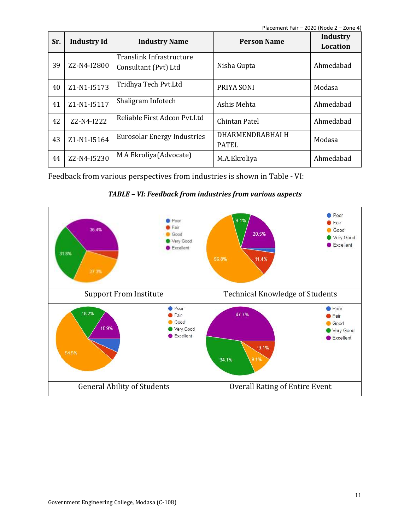| Sr. | <b>Industry Id</b> | <b>Industry Name</b>                             | <b>Person Name</b>               | Industry<br>Location |
|-----|--------------------|--------------------------------------------------|----------------------------------|----------------------|
| 39  | Z2-N4-I2800        | Translink Infrastructure<br>Consultant (Pvt) Ltd | Nisha Gupta                      | Ahmedabad            |
| 40  | Z1-N1-I5173        | Tridhya Tech Pvt.Ltd                             | PRIYA SONI                       | Modasa               |
| 41  | Z1-N1-I5117        | Shaligram Infotech                               | Ashis Mehta                      | Ahmedabad            |
| 42  | Z2-N4-I222         | Reliable First Adcon Pvt.Ltd                     | Chintan Patel                    | Ahmedabad            |
| 43  | Z1-N1-I5164        | <b>Eurosolar Energy Industries</b>               | DHARMENDRABHAI H<br><b>PATEL</b> | Modasa               |
| 44  | Z2-N4-I5230        | M A Ekroliya (Advocate)                          | M.A.Ekroliya                     | Ahmedabad            |

Feedback from various perspectives from industries is shown in Table - VI:



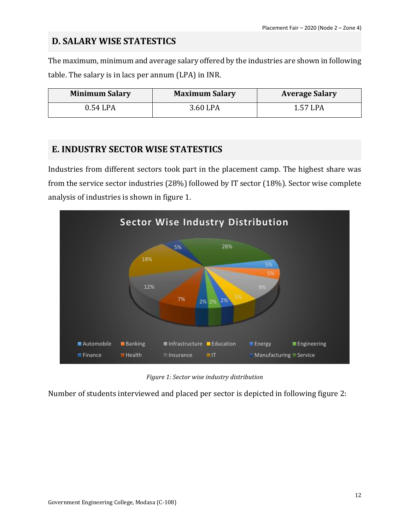#### **D. SALARY WISE STATESTICS**

The maximum, minimum and average salary offered by the industries are shown in following table. The salary is in lacs per annum (LPA) in INR.

| <b>Minimum Salary</b> | <b>Maximum Salary</b> | <b>Average Salary</b> |
|-----------------------|-----------------------|-----------------------|
| 0.54 LPA              | 3.60 LPA              | 1.57 LPA              |

#### **E. INDUSTRY SECTOR WISE STATESTICS**

Industries from different sectors took part in the placement camp. The highest share was from the service sector industries (28%) followed by IT sector (18%). Sector wise complete analysis of industries is shown in figure 1.



*Figure 1: Sector wise industry distribution*

Number of students interviewed and placed per sector is depicted in following figure 2: